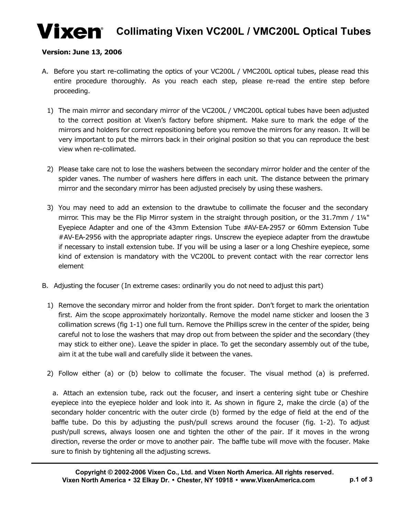# **Vixen** Collimating Vixen VC200L / VMC200L Optical Tubes

#### **Version: June 13, 2006**

- A. Before you start re-collimating the optics of your VC200L / VMC200L optical tubes, please read this entire procedure thoroughly. As you reach each step, please re-read the entire step before proceeding.
	- 1) The main mirror and secondary mirror of the VC200L / VMC200L optical tubes have been adjusted to the correct position at Vixen's factory before shipment. Make sure to mark the edge of the mirrors and holders for correct repositioning before you remove the mirrors for any reason. It will be very important to put the mirrors back in their original position so that you can reproduce the best view when re-collimated.
	- 2) Please take care not to lose the washers between the secondary mirror holder and the center of the spider vanes. The number of washers here differs in each unit. The distance between the primary mirror and the secondary mirror has been adjusted precisely by using these washers.
	- 3) You may need to add an extension to the drawtube to collimate the focuser and the secondary mirror. This may be the Flip Mirror system in the straight through position, or the 31.7mm /  $1\frac{1}{4}$ " Eyepiece Adapter and one of the 43mm Extension Tube #AV-EA-2957 or 60mm Extension Tube #AV-EA-2956 with the appropriate adapter rings. Unscrew the eyepiece adapter from the drawtube if necessary to install extension tube. If you will be using a laser or a long Cheshire eyepiece, some kind of extension is mandatory with the VC200L to prevent contact with the rear corrector lens element
- B. Adjusting the focuser (In extreme cases: ordinarily you do not need to adjust this part)
	- 1) Remove the secondary mirror and holder from the front spider. Don't forget to mark the orientation first. Aim the scope approximately horizontally. Remove the model name sticker and loosen the 3 collimation screws (fig 1-1) one full turn. Remove the Phillips screw in the center of the spider, being careful not to lose the washers that may drop out from between the spider and the secondary (they may stick to either one). Leave the spider in place. To get the secondary assembly out of the tube, aim it at the tube wall and carefully slide it between the vanes.
	- 2) Follow either (a) or (b) below to collimate the focuser. The visual method (a) is preferred.

a. Attach an extension tube, rack out the focuser, and insert a centering sight tube or Cheshire eyepiece into the eyepiece holder and look into it. As shown in figure 2, make the circle (a) of the secondary holder concentric with the outer circle (b) formed by the edge of field at the end of the baffle tube. Do this by adjusting the push/pull screws around the focuser (fig. 1-2). To adjust push/pull screws, always loosen one and tighten the other of the pair. If it moves in the wrong direction, reverse the order or move to another pair. The baffle tube will move with the focuser. Make sure to finish by tightening all the adjusting screws.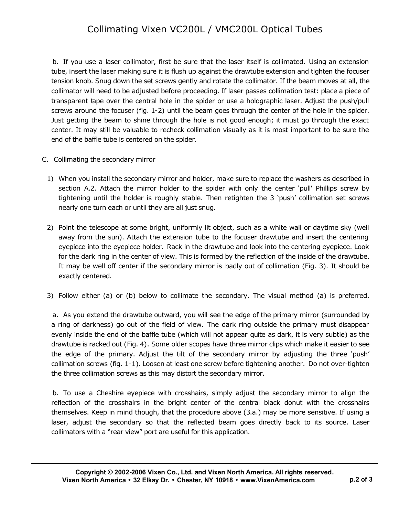#### Collimating Vixen VC200L / VMC200L Optical Tubes

b. If you use a laser collimator, first be sure that the laser itself is collimated. Using an extension tube, insert the laser making sure it is flush up against the drawtube extension and tighten the focuser tension knob. Snug down the set screws gently and rotate the collimator. If the beam moves at all, the collimator will need to be adjusted before proceeding. If laser passes collimation test: place a piece of transparent tape over the central hole in the spider or use a holographic laser. Adjust the push/pull screws around the focuser (fig. 1-2) until the beam goes through the center of the hole in the spider. Just getting the beam to shine through the hole is not good enough; it must go through the exact center. It may still be valuable to recheck collimation visually as it is most important to be sure the end of the baffle tube is centered on the spider.

- C. Collimating the secondary mirror
	- 1) When you install the secondary mirror and holder, make sure to replace the washers as described in section A.2. Attach the mirror holder to the spider with only the center 'pull' Phillips screw by tightening until the holder is roughly stable. Then retighten the 3 'push' collimation set screws nearly one turn each or until they are all just snug.
	- 2) Point the telescope at some bright, uniformly lit object, such as a white wall or daytime sky (well away from the sun). Attach the extension tube to the focuser drawtube and insert the centering eyepiece into the eyepiece holder. Rack in the drawtube and look into the centering eyepiece. Look for the dark ring in the center of view. This is formed by the reflection of the inside of the drawtube. It may be well off center if the secondary mirror is badly out of collimation (Fig. 3). It should be exactly centered.
	- 3) Follow either (a) or (b) below to collimate the secondary. The visual method (a) is preferred.

a. As you extend the drawtube outward, you will see the edge of the primary mirror (surrounded by a ring of darkness) go out of the field of view. The dark ring outside the primary must disappear evenly inside the end of the baffle tube (which will not appear quite as dark, it is very subtle) as the drawtube is racked out (Fig. 4). Some older scopes have three mirror clips which make it easier to see the edge of the primary. Adjust the tilt of the secondary mirror by adjusting the three 'push' collimation screws (fig. 1-1). Loosen at least one screw before tightening another. Do not over-tighten the three collimation screws as this may distort the secondary mirror.

b. To use a Cheshire eyepiece with crosshairs, simply adjust the secondary mirror to align the reflection of the crosshairs in the bright center of the central black donut with the crosshairs themselves. Keep in mind though, that the procedure above (3.a.) may be more sensitive. If using a laser, adjust the secondary so that the reflected beam goes directly back to its source. Laser collimators with a "rear view" port are useful for this application.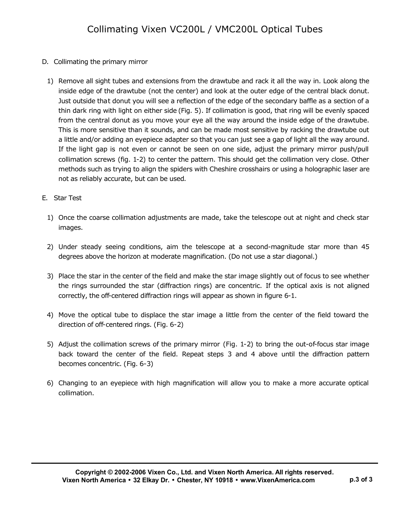- D. Collimating the primary mirror
	- 1) Remove all sight tubes and extensions from the drawtube and rack it all the way in. Look along the inside edge of the drawtube (not the center) and look at the outer edge of the central black donut. Just outside that donut you will see a reflection of the edge of the secondary baffle as a section of a thin dark ring with light on either side (Fig. 5). If collimation is good, that ring will be evenly spaced from the central donut as you move your eye all the way around the inside edge of the drawtube. This is more sensitive than it sounds, and can be made most sensitive by racking the drawtube out a little and/or adding an eyepiece adapter so that you can just see a gap of light all the way around. If the light gap is not even or cannot be seen on one side, adjust the primary mirror push/pull collimation screws (fig. 1-2) to center the pattern. This should get the collimation very close. Other methods such as trying to align the spiders with Cheshire crosshairs or using a holographic laser are not as reliably accurate, but can be used.
- E. Star Test
	- 1) Once the coarse collimation adjustments are made, take the telescope out at night and check star images.
	- 2) Under steady seeing conditions, aim the telescope at a second-magnitude star more than 45 degrees above the horizon at moderate magnification. (Do not use a star diagonal.)
	- 3) Place the star in the center of the field and make the star image slightly out of focus to see whether the rings surrounded the star (diffraction rings) are concentric. If the optical axis is not aligned correctly, the off-centered diffraction rings will appear as shown in figure 6-1.
	- 4) Move the optical tube to displace the star image a little from the center of the field toward the direction of off-centered rings. (Fig. 6-2)
	- 5) Adjust the collimation screws of the primary mirror (Fig. 1-2) to bring the out-of-focus star image back toward the center of the field. Repeat steps 3 and 4 above until the diffraction pattern becomes concentric. (Fig. 6-3)
	- 6) Changing to an eyepiece with high magnification will allow you to make a more accurate optical collimation.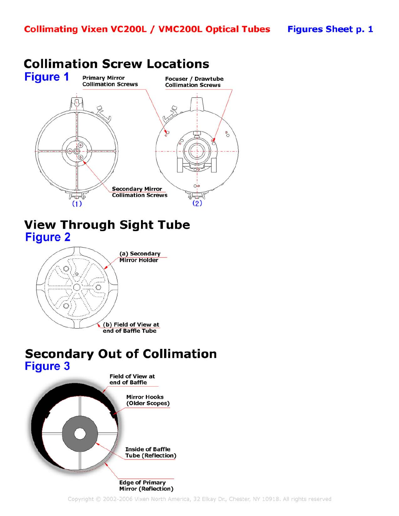

## **View Through Sight Tube Figure 2**



### **Secondary Out of Collimation Figure 3**